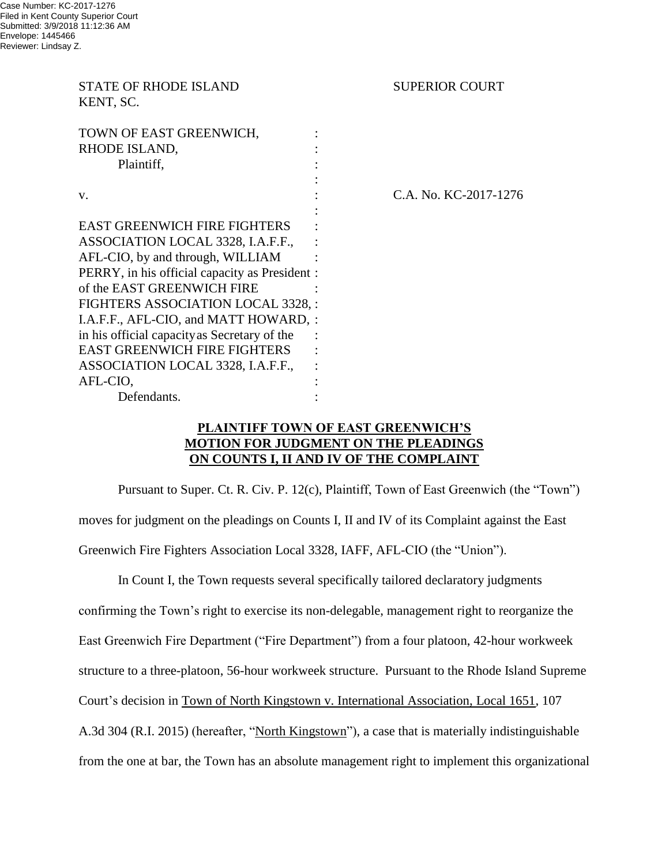STATE OF RHODE ISLAND SUPERIOR COURT KENT, SC. TOWN OF EAST GREENWICH, RHODE ISLAND, Plaintiff, : v. : C.A. No. KC-2017-1276 : EAST GREENWICH FIRE FIGHTERS ASSOCIATION LOCAL 3328, I.A.F.F., : AFL-CIO, by and through, WILLIAM : PERRY, in his official capacity as President : of the EAST GREENWICH FIRE FIGHTERS ASSOCIATION LOCAL 3328, : I.A.F.F., AFL-CIO, and MATT HOWARD, : in his official capacityas Secretary of the : EAST GREENWICH FIRE FIGHTERS ASSOCIATION LOCAL 3328, I.A.F.F., : AFL-CIO, : Defendants. :  $\qquad \qquad$  :

### **PLAINTIFF TOWN OF EAST GREENWICH'S MOTION FOR JUDGMENT ON THE PLEADINGS ON COUNTS I, II AND IV OF THE COMPLAINT**

Pursuant to Super. Ct. R. Civ. P. 12(c), Plaintiff, Town of East Greenwich (the "Town") moves for judgment on the pleadings on Counts I, II and IV of its Complaint against the East Greenwich Fire Fighters Association Local 3328, IAFF, AFL-CIO (the "Union").

In Count I, the Town requests several specifically tailored declaratory judgments confirming the Town's right to exercise its non-delegable, management right to reorganize the East Greenwich Fire Department ("Fire Department") from a four platoon, 42-hour workweek structure to a three-platoon, 56-hour workweek structure. Pursuant to the Rhode Island Supreme Court's decision in Town of North Kingstown v. International Association, Local 1651, 107 A.3d 304 (R.I. 2015) (hereafter, "North Kingstown"), a case that is materially indistinguishable from the one at bar, the Town has an absolute management right to implement this organizational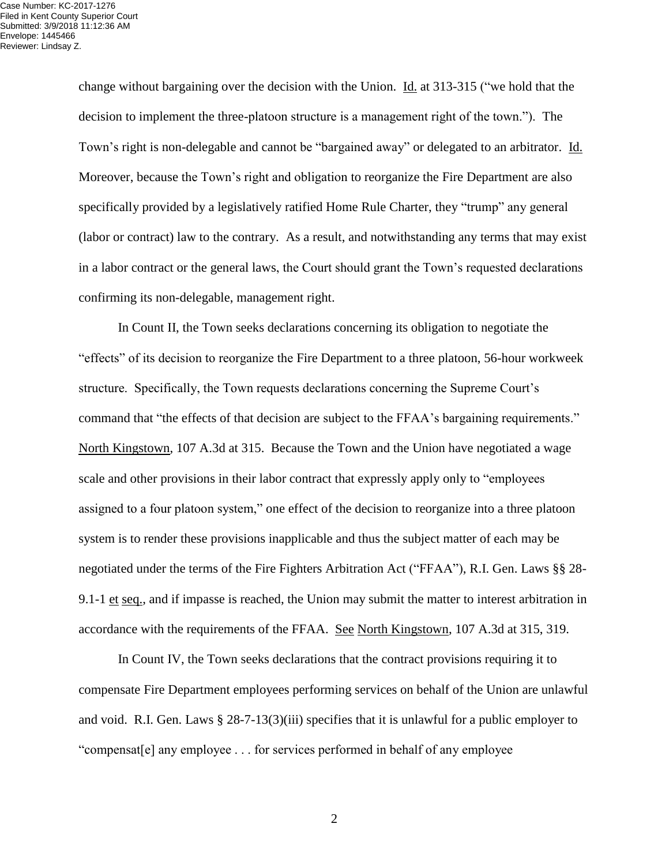change without bargaining over the decision with the Union. Id. at 313-315 ("we hold that the decision to implement the three-platoon structure is a management right of the town."). The Town's right is non-delegable and cannot be "bargained away" or delegated to an arbitrator. Id. Moreover, because the Town's right and obligation to reorganize the Fire Department are also specifically provided by a legislatively ratified Home Rule Charter, they "trump" any general (labor or contract) law to the contrary. As a result, and notwithstanding any terms that may exist in a labor contract or the general laws, the Court should grant the Town's requested declarations confirming its non-delegable, management right.

In Count II, the Town seeks declarations concerning its obligation to negotiate the "effects" of its decision to reorganize the Fire Department to a three platoon, 56-hour workweek structure. Specifically, the Town requests declarations concerning the Supreme Court's command that "the effects of that decision are subject to the FFAA's bargaining requirements." North Kingstown, 107 A.3d at 315. Because the Town and the Union have negotiated a wage scale and other provisions in their labor contract that expressly apply only to "employees assigned to a four platoon system," one effect of the decision to reorganize into a three platoon system is to render these provisions inapplicable and thus the subject matter of each may be negotiated under the terms of the Fire Fighters Arbitration Act ("FFAA"), R.I. Gen. Laws §§ 28- 9.1-1 et seq., and if impasse is reached, the Union may submit the matter to interest arbitration in accordance with the requirements of the FFAA. See North Kingstown, 107 A.3d at 315, 319.

In Count IV, the Town seeks declarations that the contract provisions requiring it to compensate Fire Department employees performing services on behalf of the Union are unlawful and void. R.I. Gen. Laws § 28-7-13(3)(iii) specifies that it is unlawful for a public employer to "compensat[e] any employee . . . for services performed in behalf of any employee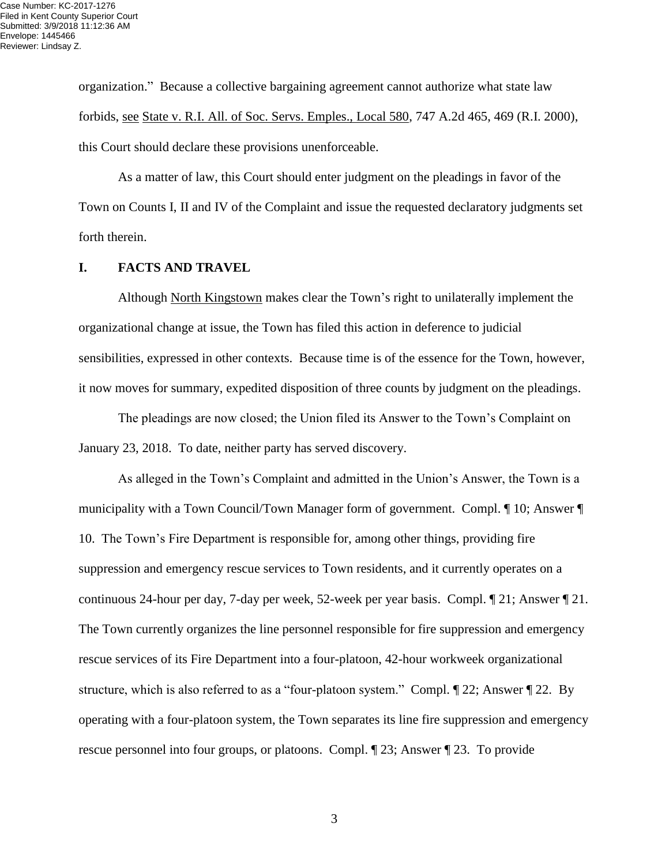organization." Because a collective bargaining agreement cannot authorize what state law forbids, see State v. R.I. All. of Soc. Servs. Emples., Local 580, 747 A.2d 465, 469 (R.I. 2000), this Court should declare these provisions unenforceable.

As a matter of law, this Court should enter judgment on the pleadings in favor of the Town on Counts I, II and IV of the Complaint and issue the requested declaratory judgments set forth therein.

#### **I. FACTS AND TRAVEL**

Although North Kingstown makes clear the Town's right to unilaterally implement the organizational change at issue, the Town has filed this action in deference to judicial sensibilities, expressed in other contexts. Because time is of the essence for the Town, however, it now moves for summary, expedited disposition of three counts by judgment on the pleadings.

The pleadings are now closed; the Union filed its Answer to the Town's Complaint on January 23, 2018. To date, neither party has served discovery.

As alleged in the Town's Complaint and admitted in the Union's Answer, the Town is a municipality with a Town Council/Town Manager form of government. Compl. ¶ 10; Answer ¶ 10. The Town's Fire Department is responsible for, among other things, providing fire suppression and emergency rescue services to Town residents, and it currently operates on a continuous 24-hour per day, 7-day per week, 52-week per year basis. Compl. ¶ 21; Answer ¶ 21. The Town currently organizes the line personnel responsible for fire suppression and emergency rescue services of its Fire Department into a four-platoon, 42-hour workweek organizational structure, which is also referred to as a "four-platoon system." Compl. ¶ 22; Answer ¶ 22. By operating with a four-platoon system, the Town separates its line fire suppression and emergency rescue personnel into four groups, or platoons. Compl. ¶ 23; Answer ¶ 23. To provide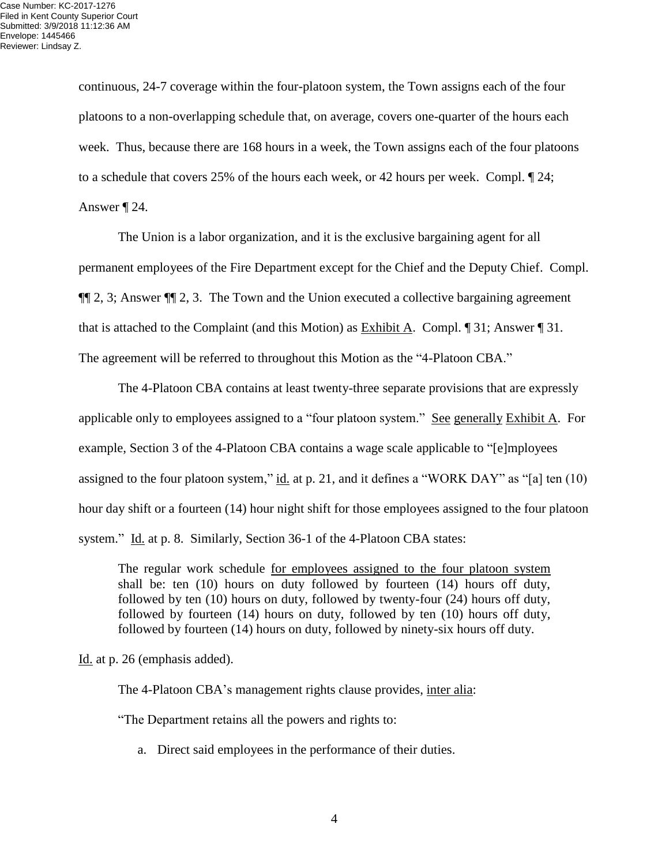continuous, 24-7 coverage within the four-platoon system, the Town assigns each of the four platoons to a non-overlapping schedule that, on average, covers one-quarter of the hours each week. Thus, because there are 168 hours in a week, the Town assigns each of the four platoons to a schedule that covers 25% of the hours each week, or 42 hours per week. Compl. ¶ 24; Answer ¶ 24.

The Union is a labor organization, and it is the exclusive bargaining agent for all permanent employees of the Fire Department except for the Chief and the Deputy Chief. Compl. ¶¶ 2, 3; Answer ¶¶ 2, 3. The Town and the Union executed a collective bargaining agreement that is attached to the Complaint (and this Motion) as Exhibit A. Compl. ¶ 31; Answer ¶ 31. The agreement will be referred to throughout this Motion as the "4-Platoon CBA."

The 4-Platoon CBA contains at least twenty-three separate provisions that are expressly applicable only to employees assigned to a "four platoon system." See generally Exhibit  $\overline{A}$ . For example, Section 3 of the 4-Platoon CBA contains a wage scale applicable to "[e]mployees assigned to the four platoon system," id. at p. 21, and it defines a "WORK DAY" as "[a] ten (10) hour day shift or a fourteen (14) hour night shift for those employees assigned to the four platoon system." Id. at p. 8. Similarly, Section 36-1 of the 4-Platoon CBA states:

The regular work schedule <u>for employees assigned</u> to the four platoon system shall be: ten (10) hours on duty followed by fourteen (14) hours off duty, followed by ten (10) hours on duty, followed by twenty-four (24) hours off duty, followed by fourteen (14) hours on duty, followed by ten (10) hours off duty, followed by fourteen (14) hours on duty, followed by ninety-six hours off duty.

Id. at p. 26 (emphasis added).

The 4-Platoon CBA's management rights clause provides, inter alia:

"The Department retains all the powers and rights to:

a. Direct said employees in the performance of their duties.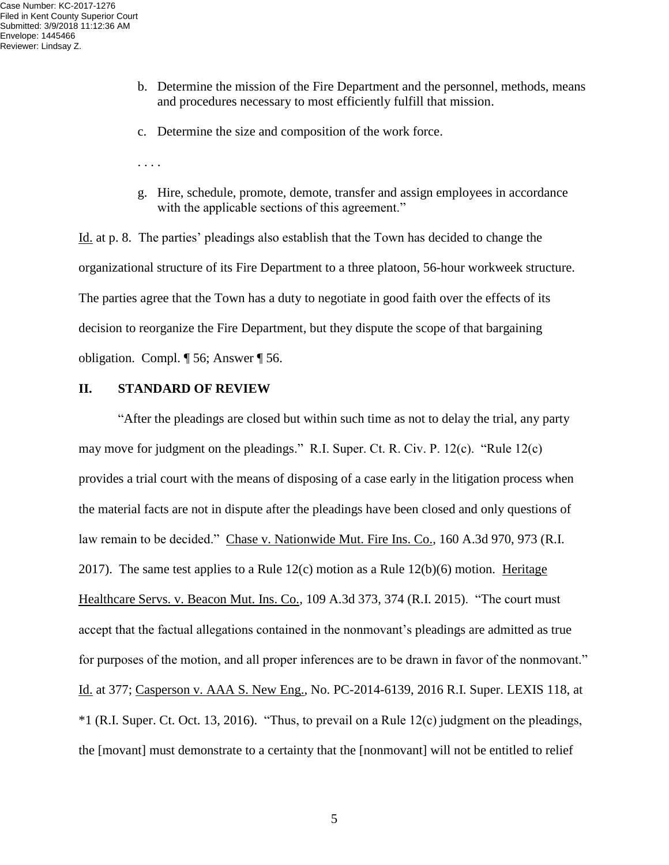- b. Determine the mission of the Fire Department and the personnel, methods, means and procedures necessary to most efficiently fulfill that mission.
- c. Determine the size and composition of the work force.
- . . . .
- g. Hire, schedule, promote, demote, transfer and assign employees in accordance with the applicable sections of this agreement."

Id. at p. 8. The parties' pleadings also establish that the Town has decided to change the organizational structure of its Fire Department to a three platoon, 56-hour workweek structure. The parties agree that the Town has a duty to negotiate in good faith over the effects of its decision to reorganize the Fire Department, but they dispute the scope of that bargaining obligation. Compl. ¶ 56; Answer ¶ 56.

#### **II. STANDARD OF REVIEW**

"After the pleadings are closed but within such time as not to delay the trial, any party may move for judgment on the pleadings." R.I. Super. Ct. R. Civ. P. 12(c). "Rule 12(c) provides a trial court with the means of disposing of a case early in the litigation process when the material facts are not in dispute after the pleadings have been closed and only questions of law remain to be decided." Chase v. Nationwide Mut. Fire Ins. Co., 160 A.3d 970, 973 (R.I. 2017). The same test applies to a Rule  $12(c)$  motion as a Rule  $12(b)(6)$  motion. Heritage Healthcare Servs. v. Beacon Mut. Ins. Co., 109 A.3d 373, 374 (R.I. 2015). "The court must accept that the factual allegations contained in the nonmovant's pleadings are admitted as true for purposes of the motion, and all proper inferences are to be drawn in favor of the nonmovant." Id. at 377; Casperson v. AAA S. New Eng., No. PC-2014-6139, 2016 R.I. Super. LEXIS 118, at  $*1$  (R.I. Super. Ct. Oct. 13, 2016). "Thus, to prevail on a Rule 12(c) judgment on the pleadings, the [movant] must demonstrate to a certainty that the [nonmovant] will not be entitled to relief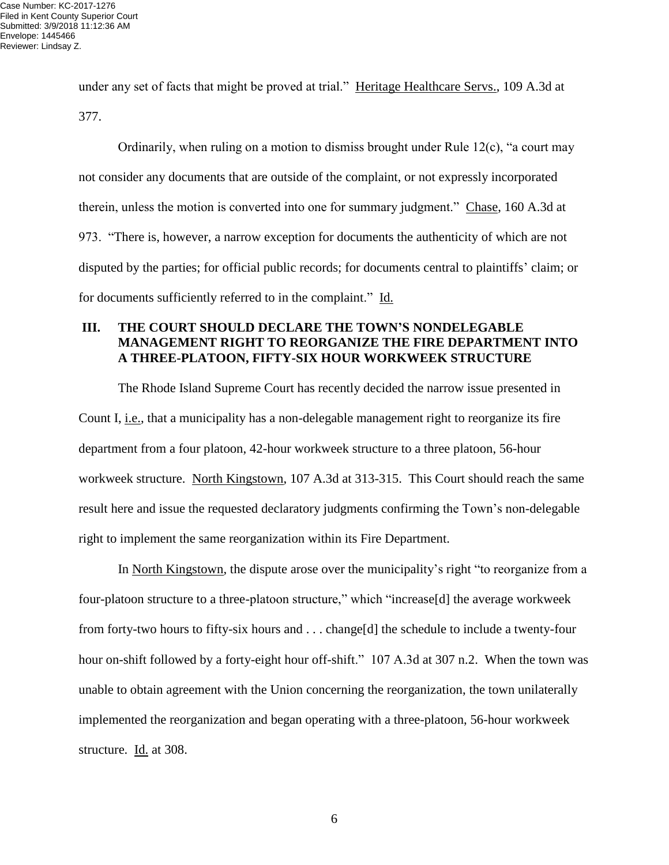under any set of facts that might be proved at trial." Heritage Healthcare Servs., 109 A.3d at 377.

Ordinarily, when ruling on a motion to dismiss brought under Rule 12(c), "a court may not consider any documents that are outside of the complaint, or not expressly incorporated therein, unless the motion is converted into one for summary judgment." Chase, 160 A.3d at 973. "There is, however, a narrow exception for documents the authenticity of which are not disputed by the parties; for official public records; for documents central to plaintiffs' claim; or for documents sufficiently referred to in the complaint." Id.

# **III. THE COURT SHOULD DECLARE THE TOWN'S NONDELEGABLE MANAGEMENT RIGHT TO REORGANIZE THE FIRE DEPARTMENT INTO A THREE-PLATOON, FIFTY-SIX HOUR WORKWEEK STRUCTURE**

The Rhode Island Supreme Court has recently decided the narrow issue presented in Count I, i.e., that a municipality has a non-delegable management right to reorganize its fire department from a four platoon, 42-hour workweek structure to a three platoon, 56-hour workweek structure. North Kingstown, 107 A.3d at 313-315. This Court should reach the same result here and issue the requested declaratory judgments confirming the Town's non-delegable right to implement the same reorganization within its Fire Department.

In North Kingstown, the dispute arose over the municipality's right "to reorganize from a four-platoon structure to a three-platoon structure," which "increase[d] the average workweek from forty-two hours to fifty-six hours and . . . change[d] the schedule to include a twenty-four hour on-shift followed by a forty-eight hour off-shift." 107 A.3d at 307 n.2. When the town was unable to obtain agreement with the Union concerning the reorganization, the town unilaterally implemented the reorganization and began operating with a three-platoon, 56-hour workweek structure. Id. at 308.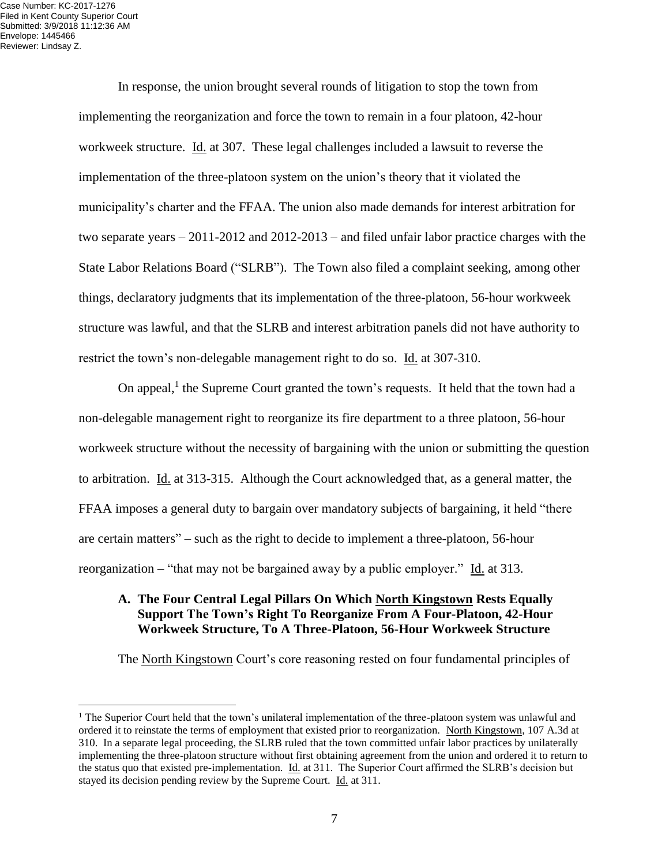In response, the union brought several rounds of litigation to stop the town from implementing the reorganization and force the town to remain in a four platoon, 42-hour workweek structure. Id. at 307. These legal challenges included a lawsuit to reverse the implementation of the three-platoon system on the union's theory that it violated the municipality's charter and the FFAA. The union also made demands for interest arbitration for two separate years – 2011-2012 and 2012-2013 – and filed unfair labor practice charges with the State Labor Relations Board ("SLRB"). The Town also filed a complaint seeking, among other things, declaratory judgments that its implementation of the three-platoon, 56-hour workweek structure was lawful, and that the SLRB and interest arbitration panels did not have authority to restrict the town's non-delegable management right to do so. Id. at 307-310.

On appeal, $<sup>1</sup>$  the Supreme Court granted the town's requests. It held that the town had a</sup> non-delegable management right to reorganize its fire department to a three platoon, 56-hour workweek structure without the necessity of bargaining with the union or submitting the question to arbitration. Id. at 313-315. Although the Court acknowledged that, as a general matter, the FFAA imposes a general duty to bargain over mandatory subjects of bargaining, it held "there are certain matters" – such as the right to decide to implement a three-platoon, 56-hour reorganization – "that may not be bargained away by a public employer." Id. at 313.

#### **A. The Four Central Legal Pillars On Which North Kingstown Rests Equally Support The Town's Right To Reorganize From A Four-Platoon, 42-Hour Workweek Structure, To A Three-Platoon, 56-Hour Workweek Structure**

The North Kingstown Court's core reasoning rested on four fundamental principles of

<sup>&</sup>lt;sup>1</sup> The Superior Court held that the town's unilateral implementation of the three-platoon system was unlawful and ordered it to reinstate the terms of employment that existed prior to reorganization. North Kingstown, 107 A.3d at 310. In a separate legal proceeding, the SLRB ruled that the town committed unfair labor practices by unilaterally implementing the three-platoon structure without first obtaining agreement from the union and ordered it to return to the status quo that existed pre-implementation. Id. at 311. The Superior Court affirmed the SLRB's decision but stayed its decision pending review by the Supreme Court. Id. at 311.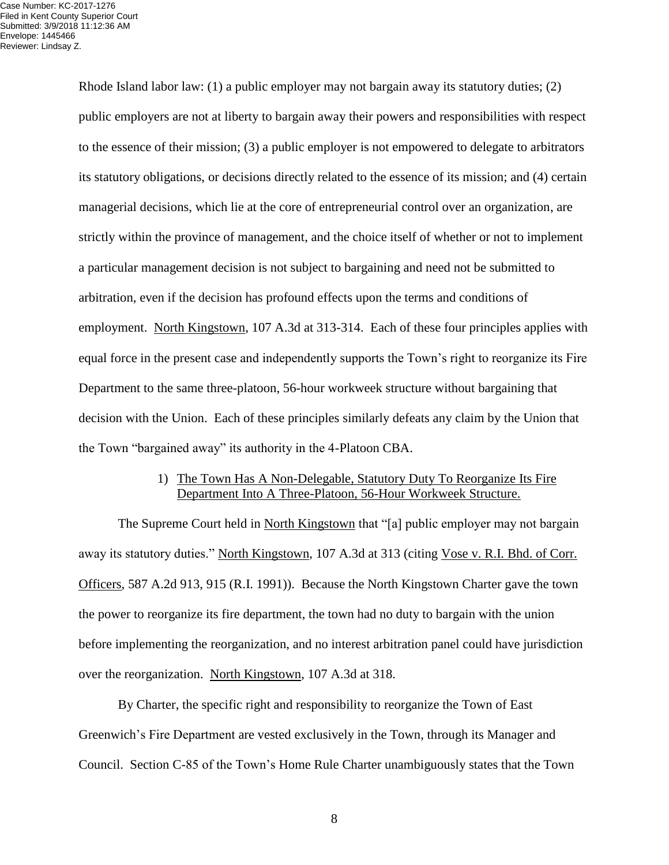Rhode Island labor law: (1) a public employer may not bargain away its statutory duties; (2) public employers are not at liberty to bargain away their powers and responsibilities with respect to the essence of their mission; (3) a public employer is not empowered to delegate to arbitrators its statutory obligations, or decisions directly related to the essence of its mission; and (4) certain managerial decisions, which lie at the core of entrepreneurial control over an organization, are strictly within the province of management, and the choice itself of whether or not to implement a particular management decision is not subject to bargaining and need not be submitted to arbitration, even if the decision has profound effects upon the terms and conditions of employment. North Kingstown, 107 A.3d at 313-314. Each of these four principles applies with equal force in the present case and independently supports the Town's right to reorganize its Fire Department to the same three-platoon, 56-hour workweek structure without bargaining that decision with the Union. Each of these principles similarly defeats any claim by the Union that the Town "bargained away" its authority in the 4-Platoon CBA.

#### 1) The Town Has A Non-Delegable, Statutory Duty To Reorganize Its Fire Department Into A Three-Platoon, 56-Hour Workweek Structure.

The Supreme Court held in North Kingstown that "[a] public employer may not bargain away its statutory duties." North Kingstown, 107 A.3d at 313 (citing Vose v. R.I. Bhd. of Corr. Officers, 587 A.2d 913, 915 (R.I. 1991)). Because the North Kingstown Charter gave the town the power to reorganize its fire department, the town had no duty to bargain with the union before implementing the reorganization, and no interest arbitration panel could have jurisdiction over the reorganization. North Kingstown, 107 A.3d at 318.

By Charter, the specific right and responsibility to reorganize the Town of East Greenwich's Fire Department are vested exclusively in the Town, through its Manager and Council. Section C-85 of the Town's Home Rule Charter unambiguously states that the Town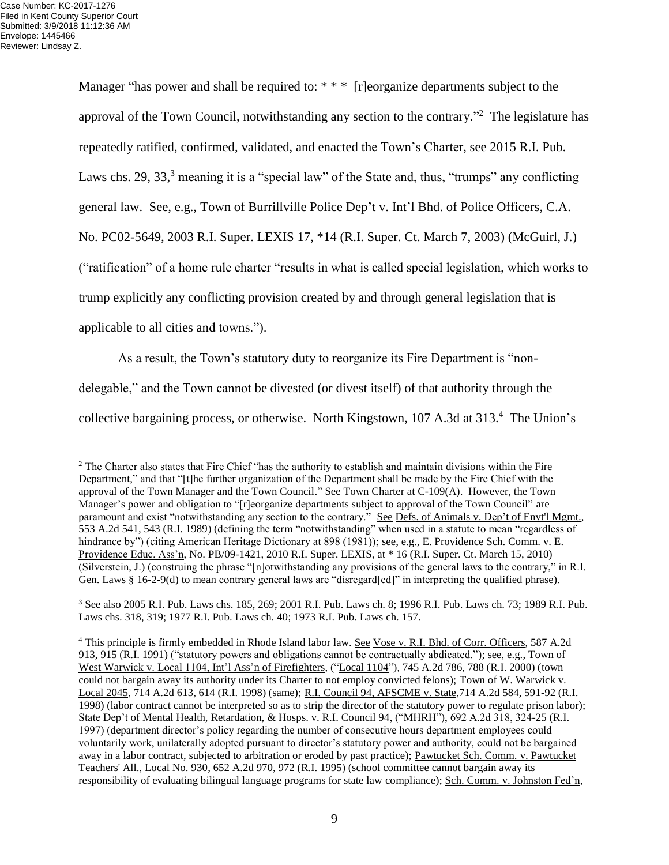Manager "has power and shall be required to: \* \* \* [r]eorganize departments subject to the approval of the Town Council, notwithstanding any section to the contrary."<sup>2</sup> The legislature has repeatedly ratified, confirmed, validated, and enacted the Town's Charter, see 2015 R.I. Pub. Laws chs. 29, 33, $3$  meaning it is a "special law" of the State and, thus, "trumps" any conflicting general law. See, e.g., Town of Burrillville Police Dep't v. Int'l Bhd. of Police Officers, C.A. No. PC02-5649, 2003 R.I. Super. LEXIS 17, \*14 (R.I. Super. Ct. March 7, 2003) (McGuirl, J.) ("ratification" of a home rule charter "results in what is called special legislation, which works to trump explicitly any conflicting provision created by and through general legislation that is applicable to all cities and towns.").

As a result, the Town's statutory duty to reorganize its Fire Department is "non-

delegable," and the Town cannot be divested (or divest itself) of that authority through the

collective bargaining process, or otherwise. North Kingstown, 107 A.3d at 313.<sup>4</sup> The Union's

<sup>&</sup>lt;sup>2</sup> The Charter also states that Fire Chief "has the authority to establish and maintain divisions within the Fire Department," and that "[t]he further organization of the Department shall be made by the Fire Chief with the approval of the Town Manager and the Town Council." See Town Charter at C-109(A). However, the Town Manager's power and obligation to "[r]eorganize departments subject to approval of the Town Council" are paramount and exist "notwithstanding any section to the contrary." See Defs. of Animals v. Dep't of Envt'l Mgmt., 553 A.2d 541, 543 (R.I. 1989) (defining the term "notwithstanding" when used in a statute to mean "regardless of hindrance by") (citing American Heritage Dictionary at 898 (1981)); <u>see, e.g., E. Providence Sch. Comm. v. E.</u> Providence Educ. Ass'n, No. PB/09-1421, 2010 R.I. Super. LEXIS, at \* 16 (R.I. Super. Ct. March 15, 2010) (Silverstein, J.) (construing the phrase "[n]otwithstanding any provisions of the general laws to the contrary," in R.I. Gen. Laws § 16-2-9(d) to mean contrary general laws are "disregard[ed]" in interpreting the qualified phrase).

<sup>3</sup> See also 2005 R.I. Pub. Laws chs. 185, 269; 2001 R.I. Pub. Laws ch. 8; 1996 R.I. Pub. Laws ch. 73; 1989 R.I. Pub. Laws chs. 318, 319; 1977 R.I. Pub. Laws ch. 40; 1973 R.I. Pub. Laws ch. 157.

<sup>4</sup> This principle is firmly embedded in Rhode Island labor law. See Vose v. R.I. Bhd. of Corr. Officers, 587 A.2d 913, 915 (R.I. 1991) ("statutory powers and obligations cannot be contractually abdicated."); see, e.g., Town of West Warwick v. Local 1104, Int'l Ass'n of Firefighters, ("Local 1104"), 745 A.2d 786, 788 (R.I. 2000) (town could not bargain away its authority under its Charter to not employ convicted felons); Town of W. Warwick v. Local 2045, 714 A.2d 613, 614 (R.I. 1998) (same); R.I. Council 94, AFSCME v. State,714 A.2d 584, 591-92 (R.I. 1998) (labor contract cannot be interpreted so as to strip the director of the statutory power to regulate prison labor); State Dep't of Mental Health, Retardation, & Hosps. v. R.I. Council 94, ("MHRH"), 692 A.2d 318, 324-25 (R.I. 1997) (department director's policy regarding the number of consecutive hours department employees could voluntarily work, unilaterally adopted pursuant to director's statutory power and authority, could not be bargained away in a labor contract, subjected to arbitration or eroded by past practice); Pawtucket Sch. Comm. v. Pawtucket Teachers' All., Local No. 930, 652 A.2d 970, 972 (R.I. 1995) (school committee cannot bargain away its responsibility of evaluating bilingual language programs for state law compliance); Sch. Comm. v. Johnston Fed'n,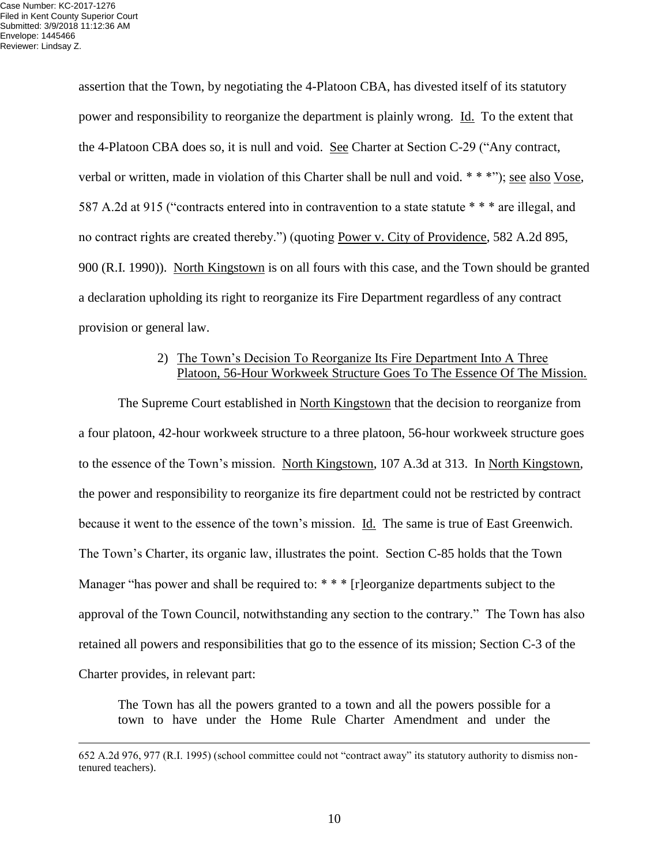assertion that the Town, by negotiating the 4-Platoon CBA, has divested itself of its statutory power and responsibility to reorganize the department is plainly wrong. Id. To the extent that the 4-Platoon CBA does so, it is null and void. See Charter at Section C-29 ("Any contract, verbal or written, made in violation of this Charter shall be null and void. \* \* \*"); see also Vose, 587 A.2d at 915 ("contracts entered into in contravention to a state statute \* \* \* are illegal, and no contract rights are created thereby.") (quoting Power v. City of Providence, 582 A.2d 895, 900 (R.I. 1990)). North Kingstown is on all fours with this case, and the Town should be granted a declaration upholding its right to reorganize its Fire Department regardless of any contract provision or general law.

# 2) The Town's Decision To Reorganize Its Fire Department Into A Three Platoon, 56-Hour Workweek Structure Goes To The Essence Of The Mission.

The Supreme Court established in North Kingstown that the decision to reorganize from a four platoon, 42-hour workweek structure to a three platoon, 56-hour workweek structure goes to the essence of the Town's mission. North Kingstown, 107 A.3d at 313. In North Kingstown, the power and responsibility to reorganize its fire department could not be restricted by contract because it went to the essence of the town's mission. Id. The same is true of East Greenwich. The Town's Charter, its organic law, illustrates the point. Section C-85 holds that the Town Manager "has power and shall be required to: \* \* \* [r]eorganize departments subject to the approval of the Town Council, notwithstanding any section to the contrary." The Town has also retained all powers and responsibilities that go to the essence of its mission; Section C-3 of the Charter provides, in relevant part:

The Town has all the powers granted to a town and all the powers possible for a town to have under the Home Rule Charter Amendment and under the

<sup>652</sup> A.2d 976, 977 (R.I. 1995) (school committee could not "contract away" its statutory authority to dismiss nontenured teachers).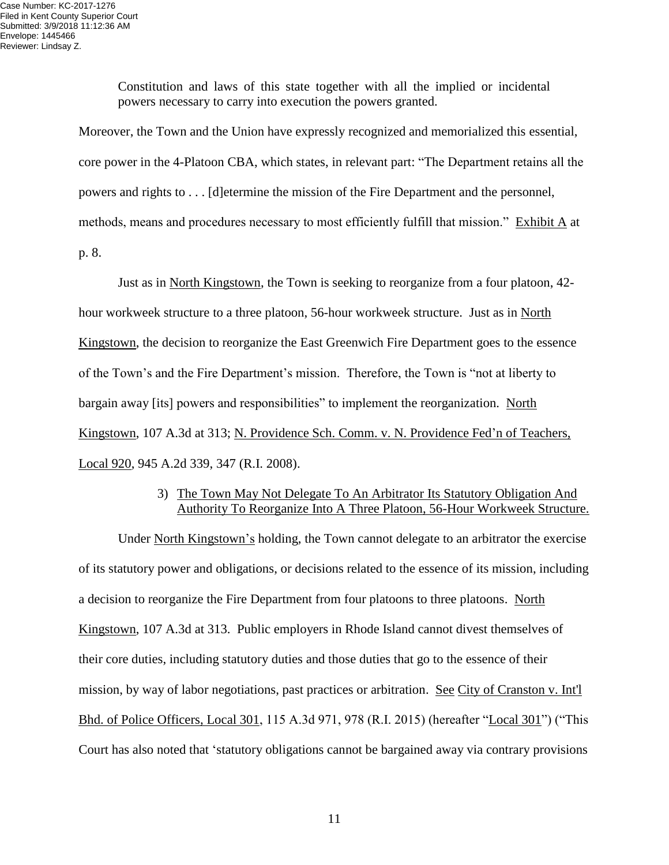Constitution and laws of this state together with all the implied or incidental powers necessary to carry into execution the powers granted.

Moreover, the Town and the Union have expressly recognized and memorialized this essential, core power in the 4-Platoon CBA, which states, in relevant part: "The Department retains all the powers and rights to . . . [d]etermine the mission of the Fire Department and the personnel, methods, means and procedures necessary to most efficiently fulfill that mission." Exhibit A at p. 8.

Just as in North Kingstown, the Town is seeking to reorganize from a four platoon, 42 hour workweek structure to a three platoon, 56-hour workweek structure. Just as in North Kingstown, the decision to reorganize the East Greenwich Fire Department goes to the essence of the Town's and the Fire Department's mission. Therefore, the Town is "not at liberty to bargain away [its] powers and responsibilities" to implement the reorganization. North Kingstown, 107 A.3d at 313; N. Providence Sch. Comm. v. N. Providence Fed'n of Teachers, Local 920, 945 A.2d 339, 347 (R.I. 2008).

# 3) The Town May Not Delegate To An Arbitrator Its Statutory Obligation And Authority To Reorganize Into A Three Platoon, 56-Hour Workweek Structure.

Under North Kingstown's holding, the Town cannot delegate to an arbitrator the exercise of its statutory power and obligations, or decisions related to the essence of its mission, including a decision to reorganize the Fire Department from four platoons to three platoons. North Kingstown, 107 A.3d at 313. Public employers in Rhode Island cannot divest themselves of their core duties, including statutory duties and those duties that go to the essence of their mission, by way of labor negotiations, past practices or arbitration. See City of Cranston v. Int'l Bhd. of Police Officers, Local 301, 115 A.3d 971, 978 (R.I. 2015) (hereafter "Local 301") ("This Court has also noted that 'statutory obligations cannot be bargained away via contrary provisions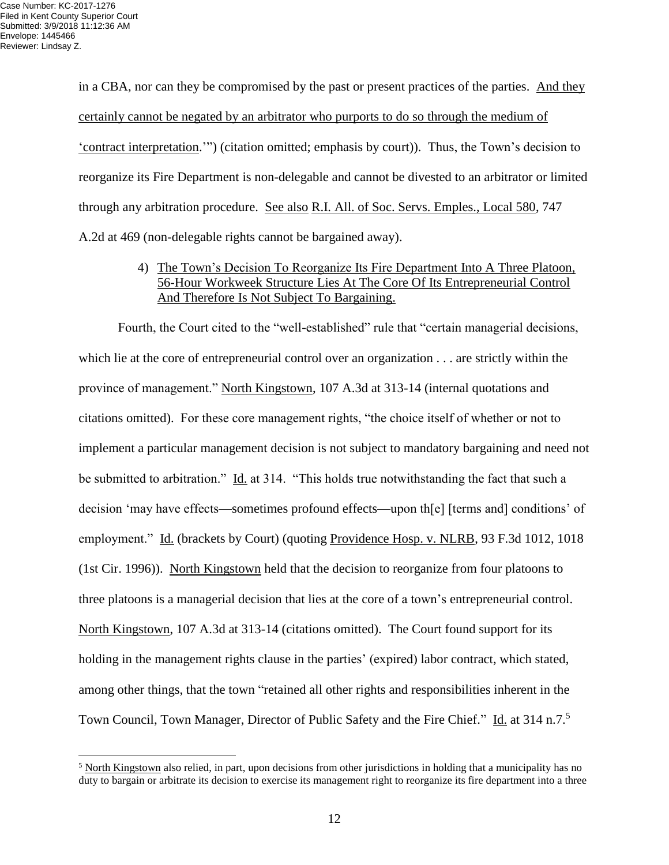in a CBA, nor can they be compromised by the past or present practices of the parties. And they certainly cannot be negated by an arbitrator who purports to do so through the medium of 'contract interpretation.'") (citation omitted; emphasis by court)). Thus, the Town's decision to reorganize its Fire Department is non-delegable and cannot be divested to an arbitrator or limited through any arbitration procedure. See also R.I. All. of Soc. Servs. Emples., Local 580, 747 A.2d at 469 (non-delegable rights cannot be bargained away).

# 4) The Town's Decision To Reorganize Its Fire Department Into A Three Platoon, 56-Hour Workweek Structure Lies At The Core Of Its Entrepreneurial Control And Therefore Is Not Subject To Bargaining.

Fourth, the Court cited to the "well-established" rule that "certain managerial decisions, which lie at the core of entrepreneurial control over an organization  $\dots$  are strictly within the province of management." North Kingstown, 107 A.3d at 313-14 (internal quotations and citations omitted). For these core management rights, "the choice itself of whether or not to implement a particular management decision is not subject to mandatory bargaining and need not be submitted to arbitration." Id. at 314. "This holds true notwithstanding the fact that such a decision 'may have effects—sometimes profound effects—upon th[e] [terms and] conditions' of employment." Id. (brackets by Court) (quoting Providence Hosp. v. NLRB, 93 F.3d 1012, 1018 (1st Cir. 1996)). North Kingstown held that the decision to reorganize from four platoons to three platoons is a managerial decision that lies at the core of a town's entrepreneurial control. North Kingstown, 107 A.3d at 313-14 (citations omitted). The Court found support for its holding in the management rights clause in the parties' (expired) labor contract, which stated, among other things, that the town "retained all other rights and responsibilities inherent in the Town Council, Town Manager, Director of Public Safety and the Fire Chief." Id. at 314 n.7.<sup>5</sup>

 $<sup>5</sup>$  North Kingstown also relied, in part, upon decisions from other jurisdictions in holding that a municipality has no</sup> duty to bargain or arbitrate its decision to exercise its management right to reorganize its fire department into a three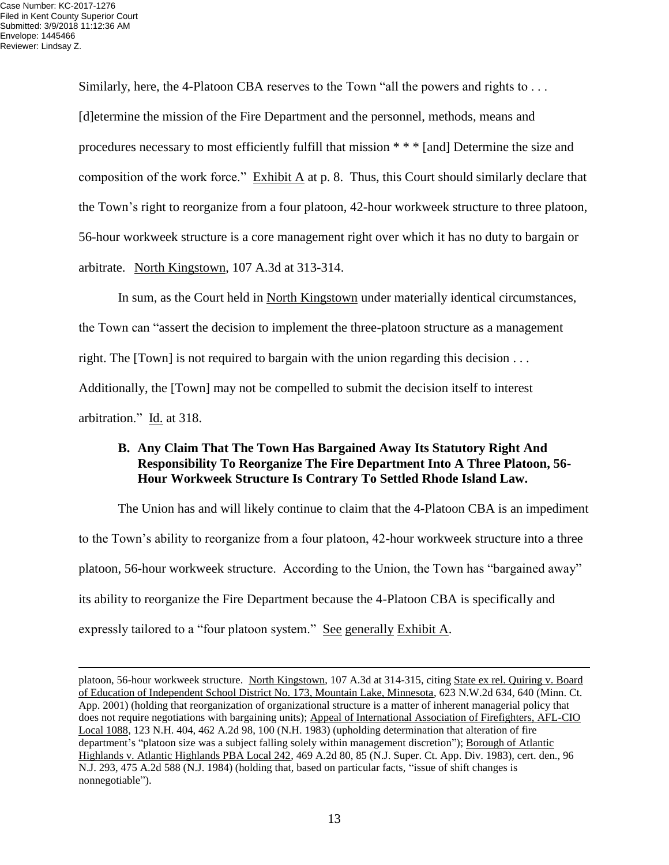Similarly, here, the 4-Platoon CBA reserves to the Town "all the powers and rights to . . . [d]etermine the mission of the Fire Department and the personnel, methods, means and procedures necessary to most efficiently fulfill that mission \* \* \* [and] Determine the size and composition of the work force." Exhibit A at p. 8. Thus, this Court should similarly declare that the Town's right to reorganize from a four platoon, 42-hour workweek structure to three platoon, 56-hour workweek structure is a core management right over which it has no duty to bargain or arbitrate. North Kingstown, 107 A.3d at 313-314.

In sum, as the Court held in North Kingstown under materially identical circumstances, the Town can "assert the decision to implement the three-platoon structure as a management right. The [Town] is not required to bargain with the union regarding this decision . . . Additionally, the [Town] may not be compelled to submit the decision itself to interest arbitration." Id. at 318.

### **B. Any Claim That The Town Has Bargained Away Its Statutory Right And Responsibility To Reorganize The Fire Department Into A Three Platoon, 56- Hour Workweek Structure Is Contrary To Settled Rhode Island Law.**

The Union has and will likely continue to claim that the 4-Platoon CBA is an impediment to the Town's ability to reorganize from a four platoon, 42-hour workweek structure into a three platoon, 56-hour workweek structure. According to the Union, the Town has "bargained away" its ability to reorganize the Fire Department because the 4-Platoon CBA is specifically and expressly tailored to a "four platoon system." See generally Exhibit A.

platoon, 56-hour workweek structure. North Kingstown, 107 A.3d at 314-315, citing State ex rel. Quiring v. Board of Education of Independent School District No. 173, Mountain Lake, Minnesota, 623 N.W.2d 634, 640 (Minn. Ct. App. 2001) (holding that reorganization of organizational structure is a matter of inherent managerial policy that does not require negotiations with bargaining units); Appeal of International Association of Firefighters, AFL-CIO Local 1088, 123 N.H. 404, 462 A.2d 98, 100 (N.H. 1983) (upholding determination that alteration of fire department's "platoon size was a subject falling solely within management discretion"); Borough of Atlantic Highlands v. Atlantic Highlands PBA Local 242, 469 A.2d 80, 85 (N.J. Super. Ct. App. Div. 1983), cert. den., 96 N.J. 293, 475 A.2d 588 (N.J. 1984) (holding that, based on particular facts, "issue of shift changes is nonnegotiable").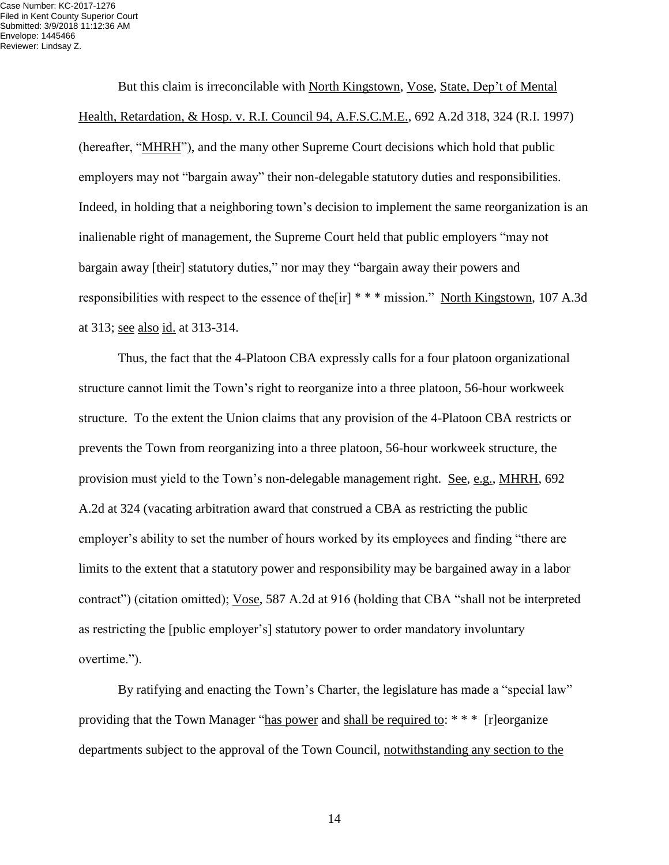But this claim is irreconcilable with North Kingstown, Vose, State, Dep't of Mental Health, Retardation, & Hosp. v. R.I. Council 94, A.F.S.C.M.E., 692 A.2d 318, 324 (R.I. 1997) (hereafter, "MHRH"), and the many other Supreme Court decisions which hold that public employers may not "bargain away" their non-delegable statutory duties and responsibilities. Indeed, in holding that a neighboring town's decision to implement the same reorganization is an inalienable right of management, the Supreme Court held that public employers "may not bargain away [their] statutory duties," nor may they "bargain away their powers and responsibilities with respect to the essence of the[ir] \* \* \* mission." North Kingstown, 107 A.3d at 313; see also id. at 313-314.

Thus, the fact that the 4-Platoon CBA expressly calls for a four platoon organizational structure cannot limit the Town's right to reorganize into a three platoon, 56-hour workweek structure. To the extent the Union claims that any provision of the 4-Platoon CBA restricts or prevents the Town from reorganizing into a three platoon, 56-hour workweek structure, the provision must yield to the Town's non-delegable management right. See, e.g., MHRH, 692 A.2d at 324 (vacating arbitration award that construed a CBA as restricting the public employer's ability to set the number of hours worked by its employees and finding "there are limits to the extent that a statutory power and responsibility may be bargained away in a labor contract") (citation omitted); Vose, 587 A.2d at 916 (holding that CBA "shall not be interpreted as restricting the [public employer's] statutory power to order mandatory involuntary overtime.").

By ratifying and enacting the Town's Charter, the legislature has made a "special law" providing that the Town Manager "has power and shall be required to: \* \* \* [r]eorganize departments subject to the approval of the Town Council, notwithstanding any section to the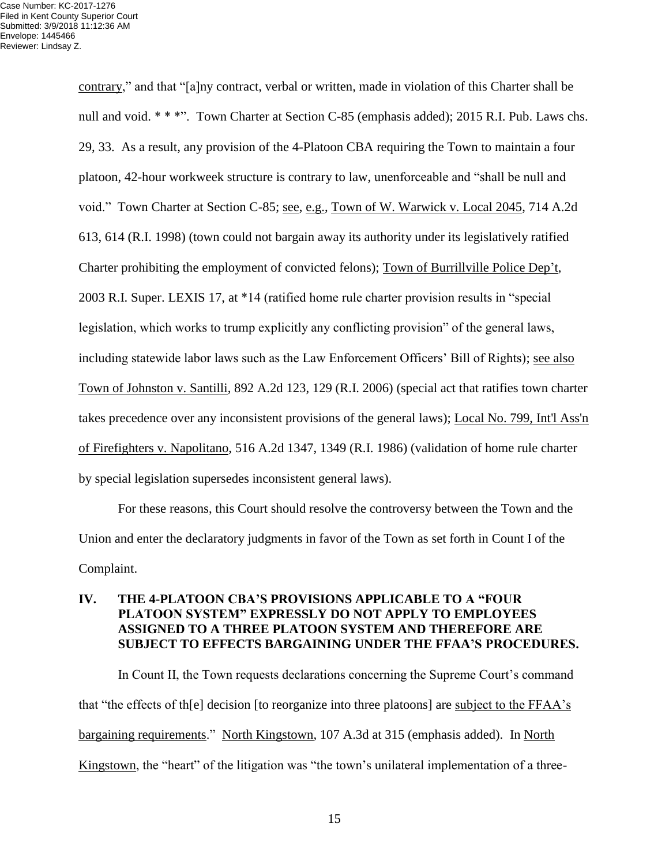contrary," and that "[a]ny contract, verbal or written, made in violation of this Charter shall be null and void. \* \* \*". Town Charter at Section C-85 (emphasis added); 2015 R.I. Pub. Laws chs. 29, 33. As a result, any provision of the 4-Platoon CBA requiring the Town to maintain a four platoon, 42-hour workweek structure is contrary to law, unenforceable and "shall be null and void." Town Charter at Section C-85; see, e.g., Town of W. Warwick v. Local 2045, 714 A.2d 613, 614 (R.I. 1998) (town could not bargain away its authority under its legislatively ratified Charter prohibiting the employment of convicted felons); Town of Burrillville Police Dep't, 2003 R.I. Super. LEXIS 17, at \*14 (ratified home rule charter provision results in "special legislation, which works to trump explicitly any conflicting provision" of the general laws, including statewide labor laws such as the Law Enforcement Officers' Bill of Rights); see also Town of Johnston v. Santilli, 892 A.2d 123, 129 (R.I. 2006) (special act that ratifies town charter takes precedence over any inconsistent provisions of the general laws); Local No. 799, Int'l Ass'n of Firefighters v. Napolitano, 516 A.2d 1347, 1349 (R.I. 1986) (validation of home rule charter by special legislation supersedes inconsistent general laws).

For these reasons, this Court should resolve the controversy between the Town and the Union and enter the declaratory judgments in favor of the Town as set forth in Count I of the Complaint.

# **IV. THE 4-PLATOON CBA'S PROVISIONS APPLICABLE TO A "FOUR PLATOON SYSTEM" EXPRESSLY DO NOT APPLY TO EMPLOYEES ASSIGNED TO A THREE PLATOON SYSTEM AND THEREFORE ARE SUBJECT TO EFFECTS BARGAINING UNDER THE FFAA'S PROCEDURES.**

In Count II, the Town requests declarations concerning the Supreme Court's command that "the effects of th[e] decision [to reorganize into three platoons] are subject to the FFAA's bargaining requirements." North Kingstown, 107 A.3d at 315 (emphasis added). In North Kingstown, the "heart" of the litigation was "the town's unilateral implementation of a three-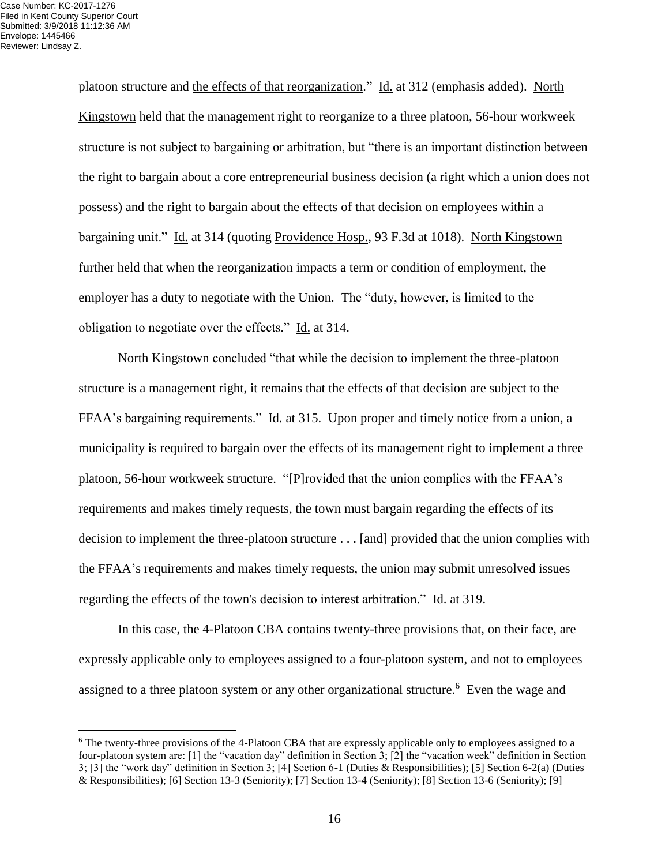platoon structure and the effects of that reorganization." Id. at 312 (emphasis added). North Kingstown held that the management right to reorganize to a three platoon, 56-hour workweek structure is not subject to bargaining or arbitration, but "there is an important distinction between the right to bargain about a core entrepreneurial business decision (a right which a union does not possess) and the right to bargain about the effects of that decision on employees within a bargaining unit." Id. at 314 (quoting Providence Hosp., 93 F.3d at 1018). North Kingstown further held that when the reorganization impacts a term or condition of employment, the employer has a duty to negotiate with the Union. The "duty, however, is limited to the obligation to negotiate over the effects." Id. at 314.

North Kingstown concluded "that while the decision to implement the three-platoon structure is a management right, it remains that the effects of that decision are subject to the FFAA's bargaining requirements." Id. at 315. Upon proper and timely notice from a union, a municipality is required to bargain over the effects of its management right to implement a three platoon, 56-hour workweek structure. "[P]rovided that the union complies with the FFAA's requirements and makes timely requests, the town must bargain regarding the effects of its decision to implement the three-platoon structure . . . [and] provided that the union complies with the FFAA's requirements and makes timely requests, the union may submit unresolved issues regarding the effects of the town's decision to interest arbitration." Id. at 319.

In this case, the 4-Platoon CBA contains twenty-three provisions that, on their face, are expressly applicable only to employees assigned to a four-platoon system, and not to employees assigned to a three platoon system or any other organizational structure.<sup>6</sup> Even the wage and

<sup>&</sup>lt;sup>6</sup> The twenty-three provisions of the 4-Platoon CBA that are expressly applicable only to employees assigned to a four-platoon system are: [1] the "vacation day" definition in Section 3; [2] the "vacation week" definition in Section 3; [3] the "work day" definition in Section 3; [4] Section 6-1 (Duties & Responsibilities); [5] Section 6-2(a) (Duties & Responsibilities); [6] Section 13-3 (Seniority); [7] Section 13-4 (Seniority); [8] Section 13-6 (Seniority); [9]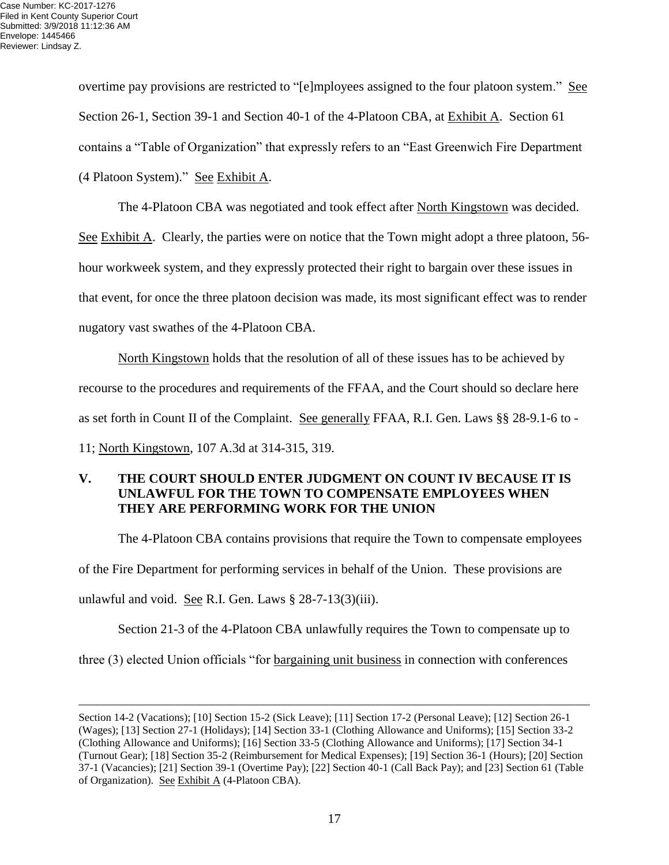overtime pay provisions are restricted to "[e]mployees assigned to the four platoon system." See Section 26-1, Section 39-1 and Section 40-1 of the 4-Platoon CBA, at Exhibit A. Section 61 contains a "Table of Organization" that expressly refers to an "East Greenwich Fire Department (4 Platoon System)." See Exhibit A.

The 4-Platoon CBA was negotiated and took effect after North Kingstown was decided.

See Exhibit A. Clearly, the parties were on notice that the Town might adopt a three platoon, 56hour workweek system, and they expressly protected their right to bargain over these issues in that event, for once the three platoon decision was made, its most significant effect was to render nugatory vast swathes of the 4-Platoon CBA.

North Kingstown holds that the resolution of all of these issues has to be achieved by recourse to the procedures and requirements of the FFAA, and the Court should so declare here as set forth in Count II of the Complaint. See generally FFAA, R.I. Gen. Laws §§ 28-9.1-6 to - 11; North Kingstown, 107 A.3d at 314-315, 319.

# **V. THE COURT SHOULD ENTER JUDGMENT ON COUNT IV BECAUSE IT IS UNLAWFUL FOR THE TOWN TO COMPENSATE EMPLOYEES WHEN THEY ARE PERFORMING WORK FOR THE UNION**

The 4-Platoon CBA contains provisions that require the Town to compensate employees of the Fire Department for performing services in behalf of the Union. These provisions are unlawful and void. See R.I. Gen. Laws  $\S 28-7-13(3)(iii)$ .

Section 21-3 of the 4-Platoon CBA unlawfully requires the Town to compensate up to three (3) elected Union officials "for bargaining unit business in connection with conferences

Section 14-2 (Vacations); [10] Section 15-2 (Sick Leave); [11] Section 17-2 (Personal Leave); [12] Section 26-1 (Wages); [13] Section 27-1 (Holidays); [14] Section 33-1 (Clothing Allowance and Uniforms); [15] Section 33-2 (Clothing Allowance and Uniforms); [16] Section 33-5 (Clothing Allowance and Uniforms); [17] Section 34-1 (Turnout Gear); [18] Section 35-2 (Reimbursement for Medical Expenses); [19] Section 36-1 (Hours); [20] Section 37-1 (Vacancies); [21] Section 39-1 (Overtime Pay); [22] Section 40-1 (Call Back Pay); and [23] Section 61 (Table of Organization). See Exhibit A (4-Platoon CBA).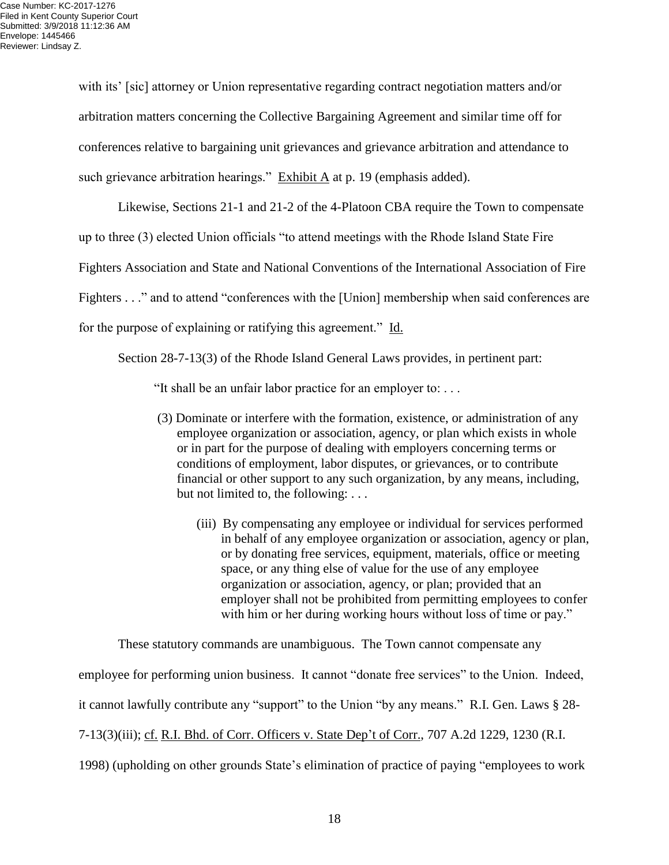with its' [sic] attorney or Union representative regarding contract negotiation matters and/or arbitration matters concerning the Collective Bargaining Agreement and similar time off for conferences relative to bargaining unit grievances and grievance arbitration and attendance to such grievance arbitration hearings." Exhibit A at p. 19 (emphasis added).

Likewise, Sections 21-1 and 21-2 of the 4-Platoon CBA require the Town to compensate up to three (3) elected Union officials "to attend meetings with the Rhode Island State Fire Fighters Association and State and National Conventions of the International Association of Fire Fighters . . ." and to attend "conferences with the [Union] membership when said conferences are for the purpose of explaining or ratifying this agreement." Id.

Section 28-7-13(3) of the Rhode Island General Laws provides, in pertinent part:

"It shall be an unfair labor practice for an employer to: . . .

- (3) Dominate or interfere with the formation, existence, or administration of any employee organization or association, agency, or plan which exists in whole or in part for the purpose of dealing with employers concerning terms or conditions of employment, labor disputes, or grievances, or to contribute financial or other support to any such organization, by any means, including, but not limited to, the following: . . .
	- (iii) By compensating any employee or individual for services performed in behalf of any employee organization or association, agency or plan, or by donating free services, equipment, materials, office or meeting space, or any thing else of value for the use of any employee organization or association, agency, or plan; provided that an employer shall not be prohibited from permitting employees to confer with him or her during working hours without loss of time or pay."

These statutory commands are unambiguous. The Town cannot compensate any

employee for performing union business. It cannot "donate free services" to the Union. Indeed,

it cannot lawfully contribute any "support" to the Union "by any means." R.I. Gen. Laws § 28-

7-13(3)(iii); cf. R.I. Bhd. of Corr. Officers v. State Dep't of Corr., 707 A.2d 1229, 1230 (R.I.

1998) (upholding on other grounds State's elimination of practice of paying "employees to work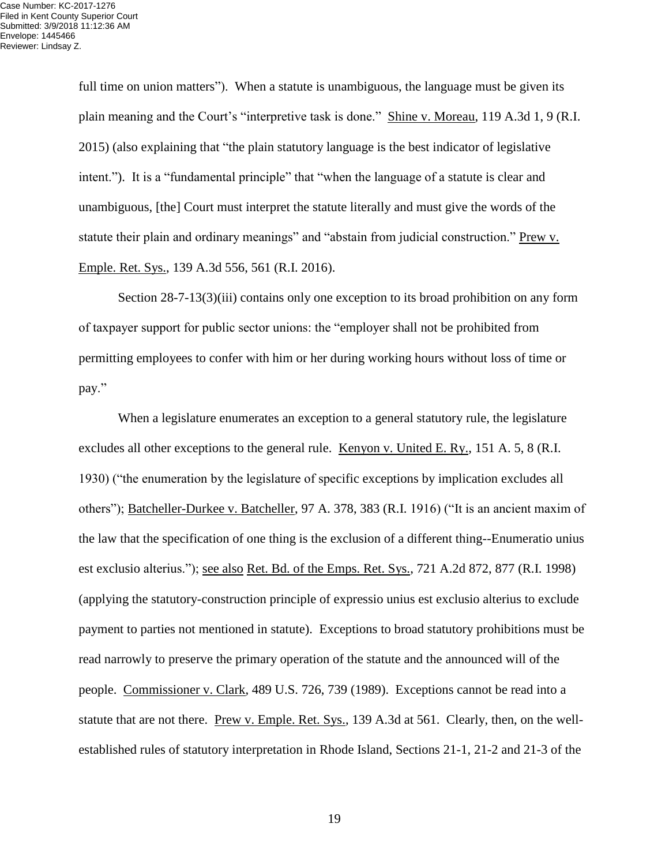full time on union matters"). When a statute is unambiguous, the language must be given its plain meaning and the Court's "interpretive task is done." Shine v. Moreau, 119 A.3d 1, 9 (R.I. 2015) (also explaining that "the plain statutory language is the best indicator of legislative intent."). It is a "fundamental principle" that "when the language of a statute is clear and unambiguous, [the] Court must interpret the statute literally and must give the words of the statute their plain and ordinary meanings" and "abstain from judicial construction." Prew v. Emple. Ret. Sys., 139 A.3d 556, 561 (R.I. 2016).

Section 28-7-13(3)(iii) contains only one exception to its broad prohibition on any form of taxpayer support for public sector unions: the "employer shall not be prohibited from permitting employees to confer with him or her during working hours without loss of time or pay."

When a legislature enumerates an exception to a general statutory rule, the legislature excludes all other exceptions to the general rule. Kenyon v. United E. Ry., 151 A. 5, 8 (R.I. 1930) ("the enumeration by the legislature of specific exceptions by implication excludes all others"); Batcheller-Durkee v. Batcheller, 97 A. 378, 383 (R.I. 1916) ("It is an ancient maxim of the law that the specification of one thing is the exclusion of a different thing--Enumeratio unius est exclusio alterius."); see also Ret. Bd. of the Emps. Ret. Sys., 721 A.2d 872, 877 (R.I. 1998) (applying the statutory-construction principle of expressio unius est exclusio alterius to exclude payment to parties not mentioned in statute). Exceptions to broad statutory prohibitions must be read narrowly to preserve the primary operation of the statute and the announced will of the people. Commissioner v. Clark, 489 U.S. 726, 739 (1989). Exceptions cannot be read into a statute that are not there. Prew v. Emple. Ret. Sys., 139 A.3d at 561. Clearly, then, on the wellestablished rules of statutory interpretation in Rhode Island, Sections 21-1, 21-2 and 21-3 of the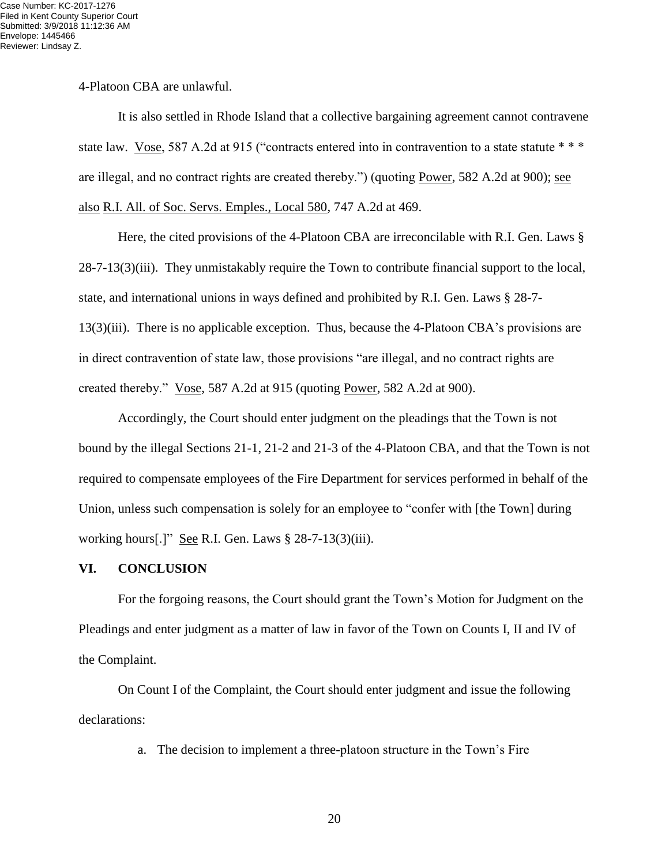4-Platoon CBA are unlawful.

It is also settled in Rhode Island that a collective bargaining agreement cannot contravene state law. Vose, 587 A.2d at 915 ("contracts entered into in contravention to a state statute \* \* \* are illegal, and no contract rights are created thereby.") (quoting Power, 582 A.2d at 900); see also R.I. All. of Soc. Servs. Emples., Local 580, 747 A.2d at 469.

Here, the cited provisions of the 4-Platoon CBA are irreconcilable with R.I. Gen. Laws § 28-7-13(3)(iii). They unmistakably require the Town to contribute financial support to the local, state, and international unions in ways defined and prohibited by R.I. Gen. Laws § 28-7- 13(3)(iii). There is no applicable exception. Thus, because the 4-Platoon CBA's provisions are in direct contravention of state law, those provisions "are illegal, and no contract rights are created thereby." Vose, 587 A.2d at 915 (quoting Power, 582 A.2d at 900).

Accordingly, the Court should enter judgment on the pleadings that the Town is not bound by the illegal Sections 21-1, 21-2 and 21-3 of the 4-Platoon CBA, and that the Town is not required to compensate employees of the Fire Department for services performed in behalf of the Union, unless such compensation is solely for an employee to "confer with [the Town] during working hours[.]" See R.I. Gen. Laws § 28-7-13(3)(iii).

#### **VI. CONCLUSION**

For the forgoing reasons, the Court should grant the Town's Motion for Judgment on the Pleadings and enter judgment as a matter of law in favor of the Town on Counts I, II and IV of the Complaint.

On Count I of the Complaint, the Court should enter judgment and issue the following declarations:

a. The decision to implement a three-platoon structure in the Town's Fire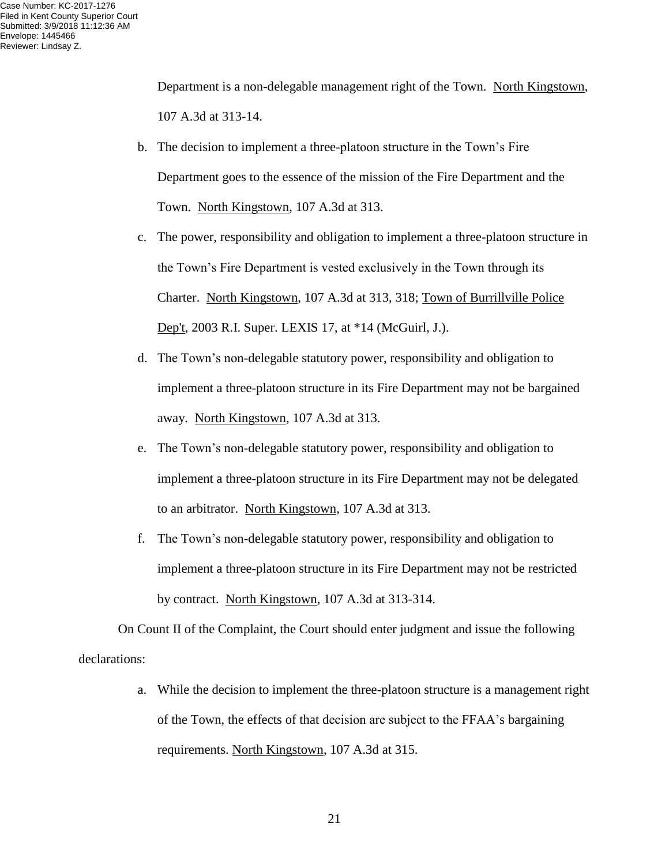Department is a non-delegable management right of the Town. North Kingstown, 107 A.3d at 313-14.

- b. The decision to implement a three-platoon structure in the Town's Fire Department goes to the essence of the mission of the Fire Department and the Town. North Kingstown, 107 A.3d at 313.
- c. The power, responsibility and obligation to implement a three-platoon structure in the Town's Fire Department is vested exclusively in the Town through its Charter. North Kingstown, 107 A.3d at 313, 318; Town of Burrillville Police Dep't, 2003 R.I. Super. LEXIS 17, at \*14 (McGuirl, J.).
- d. The Town's non-delegable statutory power, responsibility and obligation to implement a three-platoon structure in its Fire Department may not be bargained away. North Kingstown, 107 A.3d at 313.
- e. The Town's non-delegable statutory power, responsibility and obligation to implement a three-platoon structure in its Fire Department may not be delegated to an arbitrator. North Kingstown, 107 A.3d at 313.
- f. The Town's non-delegable statutory power, responsibility and obligation to implement a three-platoon structure in its Fire Department may not be restricted by contract. North Kingstown, 107 A.3d at 313-314.

On Count II of the Complaint, the Court should enter judgment and issue the following declarations:

> a. While the decision to implement the three-platoon structure is a management right of the Town, the effects of that decision are subject to the FFAA's bargaining requirements. North Kingstown, 107 A.3d at 315.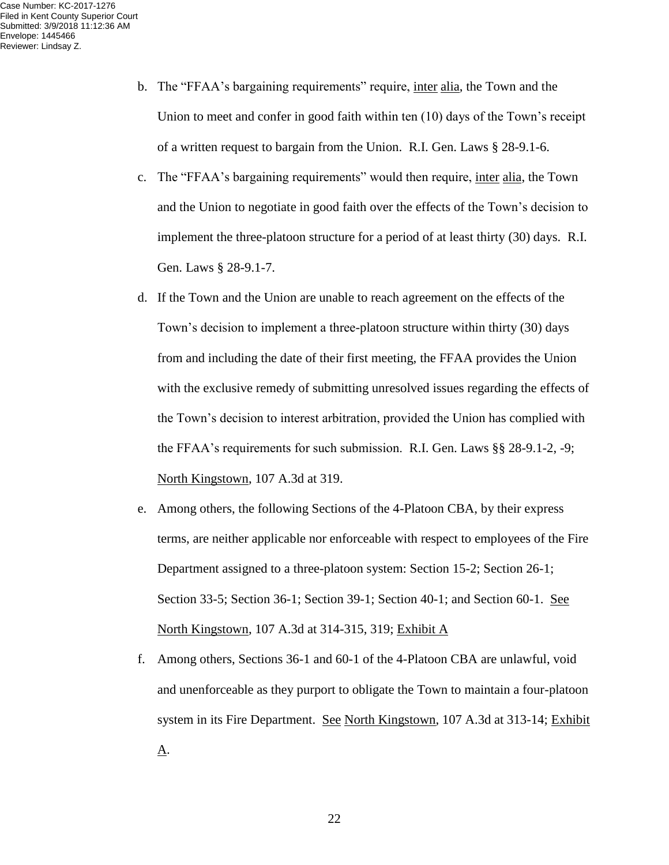- b. The "FFAA's bargaining requirements" require, inter alia, the Town and the Union to meet and confer in good faith within ten (10) days of the Town's receipt of a written request to bargain from the Union. R.I. Gen. Laws § 28-9.1-6.
- c. The "FFAA's bargaining requirements" would then require, inter alia, the Town and the Union to negotiate in good faith over the effects of the Town's decision to implement the three-platoon structure for a period of at least thirty (30) days. R.I. Gen. Laws § 28-9.1-7.
- d. If the Town and the Union are unable to reach agreement on the effects of the Town's decision to implement a three-platoon structure within thirty (30) days from and including the date of their first meeting, the FFAA provides the Union with the exclusive remedy of submitting unresolved issues regarding the effects of the Town's decision to interest arbitration, provided the Union has complied with the FFAA's requirements for such submission. R.I. Gen. Laws §§ 28-9.1-2, -9; North Kingstown, 107 A.3d at 319.
- e. Among others, the following Sections of the 4-Platoon CBA, by their express terms, are neither applicable nor enforceable with respect to employees of the Fire Department assigned to a three-platoon system: Section 15-2; Section 26-1; Section 33-5; Section 36-1; Section 39-1; Section 40-1; and Section 60-1. See North Kingstown, 107 A.3d at 314-315, 319; Exhibit A
- f. Among others, Sections 36-1 and 60-1 of the 4-Platoon CBA are unlawful, void and unenforceable as they purport to obligate the Town to maintain a four-platoon system in its Fire Department. See North Kingstown, 107 A.3d at 313-14; Exhibit  $\underline{A}$ .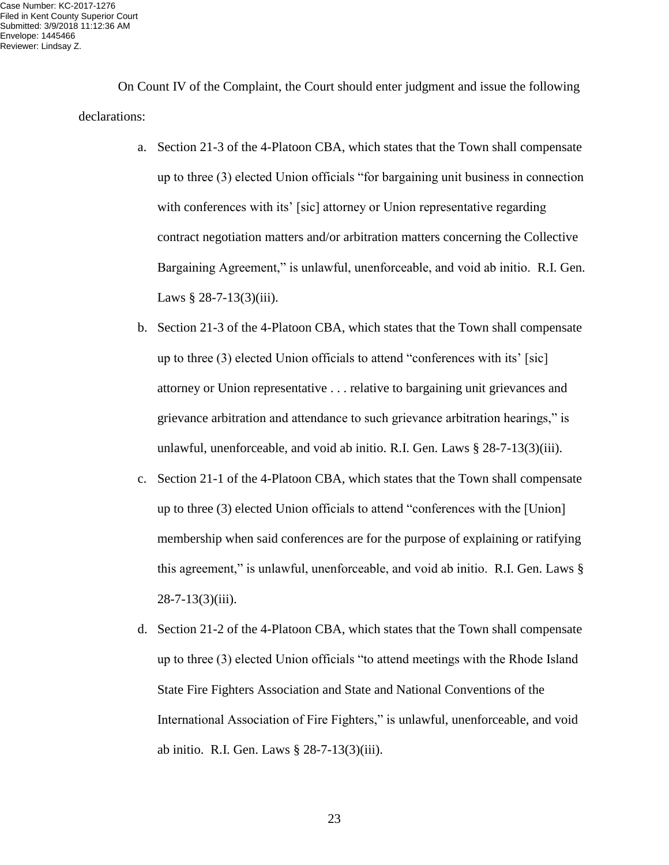On Count IV of the Complaint, the Court should enter judgment and issue the following declarations:

- a. Section 21-3 of the 4-Platoon CBA, which states that the Town shall compensate up to three (3) elected Union officials "for bargaining unit business in connection with conferences with its' [sic] attorney or Union representative regarding contract negotiation matters and/or arbitration matters concerning the Collective Bargaining Agreement," is unlawful, unenforceable, and void ab initio. R.I. Gen. Laws  $§$  28-7-13(3)(iii).
- b. Section 21-3 of the 4-Platoon CBA, which states that the Town shall compensate up to three (3) elected Union officials to attend "conferences with its' [sic] attorney or Union representative . . . relative to bargaining unit grievances and grievance arbitration and attendance to such grievance arbitration hearings," is unlawful, unenforceable, and void ab initio. R.I. Gen. Laws § 28-7-13(3)(iii).
- c. Section 21-1 of the 4-Platoon CBA, which states that the Town shall compensate up to three (3) elected Union officials to attend "conferences with the [Union] membership when said conferences are for the purpose of explaining or ratifying this agreement," is unlawful, unenforceable, and void ab initio. R.I. Gen. Laws § 28-7-13(3)(iii).
- d. Section 21-2 of the 4-Platoon CBA, which states that the Town shall compensate up to three (3) elected Union officials "to attend meetings with the Rhode Island State Fire Fighters Association and State and National Conventions of the International Association of Fire Fighters," is unlawful, unenforceable, and void ab initio. R.I. Gen. Laws § 28-7-13(3)(iii).